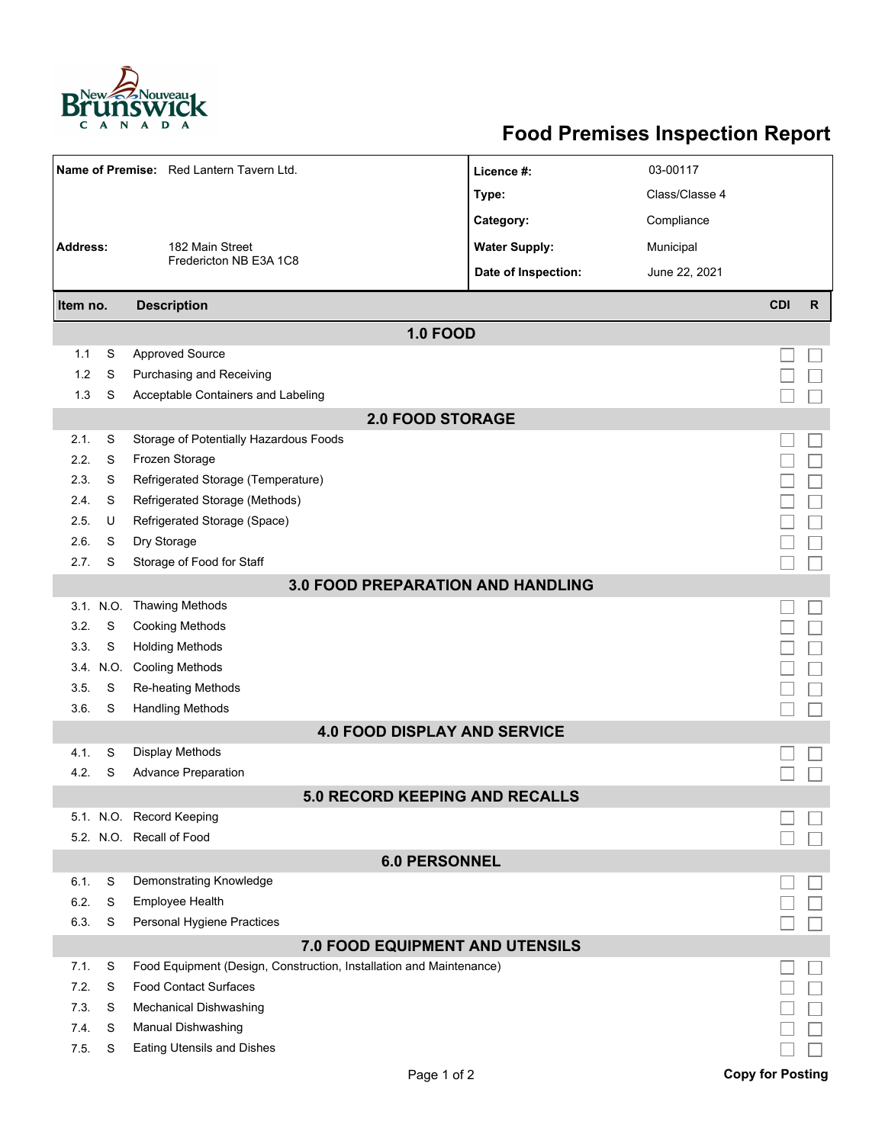

## **Food Premises Inspection Report**

| Name of Premise: Red Lantern Tavern Ltd. |           |                                                                     | Licence #:           | 03-00117       |                         |              |  |  |  |  |  |  |
|------------------------------------------|-----------|---------------------------------------------------------------------|----------------------|----------------|-------------------------|--------------|--|--|--|--|--|--|
|                                          |           |                                                                     | Type:                | Class/Classe 4 |                         |              |  |  |  |  |  |  |
|                                          |           |                                                                     | Category:            | Compliance     |                         |              |  |  |  |  |  |  |
| <b>Address:</b>                          |           | 182 Main Street                                                     | <b>Water Supply:</b> | Municipal      |                         |              |  |  |  |  |  |  |
|                                          |           | Fredericton NB E3A 1C8                                              |                      |                |                         |              |  |  |  |  |  |  |
|                                          |           |                                                                     | Date of Inspection:  | June 22, 2021  |                         |              |  |  |  |  |  |  |
| Item no.                                 |           | <b>Description</b>                                                  |                      |                | <b>CDI</b>              | $\mathsf{R}$ |  |  |  |  |  |  |
| <b>1.0 FOOD</b>                          |           |                                                                     |                      |                |                         |              |  |  |  |  |  |  |
| 1.1                                      | S         | <b>Approved Source</b>                                              |                      |                |                         |              |  |  |  |  |  |  |
| 1.2                                      | S         | Purchasing and Receiving                                            |                      |                |                         |              |  |  |  |  |  |  |
| 1.3                                      | S         | Acceptable Containers and Labeling                                  |                      |                |                         |              |  |  |  |  |  |  |
| <b>2.0 FOOD STORAGE</b>                  |           |                                                                     |                      |                |                         |              |  |  |  |  |  |  |
| 2.1.                                     | S         | Storage of Potentially Hazardous Foods                              |                      |                |                         |              |  |  |  |  |  |  |
| 2.2.                                     | S         | Frozen Storage                                                      |                      |                |                         |              |  |  |  |  |  |  |
| 2.3.                                     | S         | Refrigerated Storage (Temperature)                                  |                      |                |                         |              |  |  |  |  |  |  |
| 2.4.                                     | S         | Refrigerated Storage (Methods)                                      |                      |                |                         |              |  |  |  |  |  |  |
| 2.5.                                     | U         | Refrigerated Storage (Space)                                        |                      |                |                         |              |  |  |  |  |  |  |
| 2.6.                                     | S         | Dry Storage                                                         |                      |                |                         |              |  |  |  |  |  |  |
| 2.7.                                     | S         | Storage of Food for Staff                                           |                      |                |                         |              |  |  |  |  |  |  |
| <b>3.0 FOOD PREPARATION AND HANDLING</b> |           |                                                                     |                      |                |                         |              |  |  |  |  |  |  |
|                                          | 3.1. N.O. | <b>Thawing Methods</b>                                              |                      |                |                         |              |  |  |  |  |  |  |
| 3.2.                                     | S         | <b>Cooking Methods</b>                                              |                      |                |                         |              |  |  |  |  |  |  |
| 3.3.                                     | S         | <b>Holding Methods</b>                                              |                      |                |                         |              |  |  |  |  |  |  |
|                                          | 3.4. N.O. | <b>Cooling Methods</b>                                              |                      |                |                         |              |  |  |  |  |  |  |
| 3.5.                                     | S         | Re-heating Methods                                                  |                      |                |                         |              |  |  |  |  |  |  |
| 3.6.                                     | S         | <b>Handling Methods</b>                                             |                      |                |                         |              |  |  |  |  |  |  |
| 4.1.                                     | S         | <b>4.0 FOOD DISPLAY AND SERVICE</b><br>Display Methods              |                      |                |                         |              |  |  |  |  |  |  |
| 4.2.                                     | S         | <b>Advance Preparation</b>                                          |                      |                |                         |              |  |  |  |  |  |  |
|                                          |           | <b>5.0 RECORD KEEPING AND RECALLS</b>                               |                      |                |                         |              |  |  |  |  |  |  |
|                                          |           | 5.1. N.O. Record Keeping                                            |                      |                |                         |              |  |  |  |  |  |  |
|                                          |           | 5.2. N.O. Recall of Food                                            |                      |                |                         |              |  |  |  |  |  |  |
|                                          |           | <b>6.0 PERSONNEL</b>                                                |                      |                |                         |              |  |  |  |  |  |  |
| 6.1.                                     | S         | Demonstrating Knowledge                                             |                      |                |                         |              |  |  |  |  |  |  |
| 6.2.                                     | S         | Employee Health                                                     |                      |                |                         |              |  |  |  |  |  |  |
| 6.3.                                     | S         | Personal Hygiene Practices                                          |                      |                |                         |              |  |  |  |  |  |  |
|                                          |           | 7.0 FOOD EQUIPMENT AND UTENSILS                                     |                      |                |                         |              |  |  |  |  |  |  |
| 7.1.                                     | S         | Food Equipment (Design, Construction, Installation and Maintenance) |                      |                |                         |              |  |  |  |  |  |  |
| 7.2.                                     | S         | <b>Food Contact Surfaces</b>                                        |                      |                |                         |              |  |  |  |  |  |  |
| 7.3.                                     | S         | <b>Mechanical Dishwashing</b>                                       |                      |                |                         |              |  |  |  |  |  |  |
| 7.4.                                     | S         | Manual Dishwashing                                                  |                      |                |                         |              |  |  |  |  |  |  |
| 7.5.                                     | S         | <b>Eating Utensils and Dishes</b>                                   |                      |                |                         |              |  |  |  |  |  |  |
|                                          |           | Page 1 of 2                                                         |                      |                | <b>Copy for Posting</b> |              |  |  |  |  |  |  |